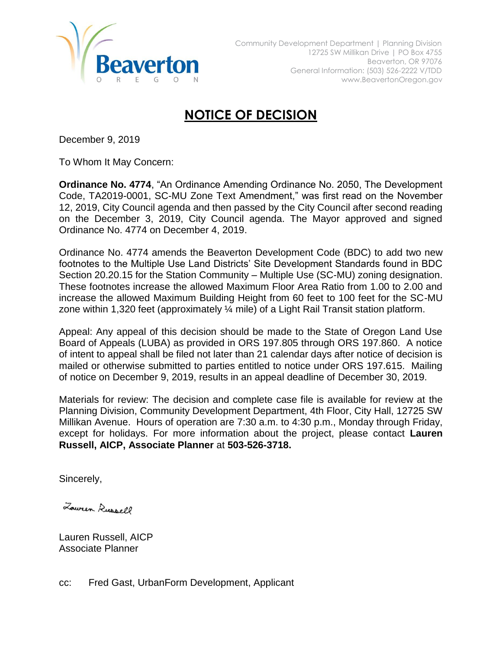

## **NOTICE OF DECISION**

December 9, 2019

To Whom It May Concern:

**Ordinance No. 4774**, "An Ordinance Amending Ordinance No. 2050, The Development Code, TA2019-0001, SC-MU Zone Text Amendment," was first read on the November 12, 2019, City Council agenda and then passed by the City Council after second reading on the December 3, 2019, City Council agenda. The Mayor approved and signed Ordinance No. 4774 on December 4, 2019.

Ordinance No. 4774 amends the Beaverton Development Code (BDC) to add two new footnotes to the Multiple Use Land Districts' Site Development Standards found in BDC Section 20.20.15 for the Station Community – Multiple Use (SC-MU) zoning designation. These footnotes increase the allowed Maximum Floor Area Ratio from 1.00 to 2.00 and increase the allowed Maximum Building Height from 60 feet to 100 feet for the SC-MU zone within 1,320 feet (approximately ¼ mile) of a Light Rail Transit station platform.

Appeal: Any appeal of this decision should be made to the State of Oregon Land Use Board of Appeals (LUBA) as provided in ORS 197.805 through ORS 197.860. A notice of intent to appeal shall be filed not later than 21 calendar days after notice of decision is mailed or otherwise submitted to parties entitled to notice under ORS 197.615. Mailing of notice on December 9, 2019, results in an appeal deadline of December 30, 2019.

Materials for review: The decision and complete case file is available for review at the Planning Division, Community Development Department, 4th Floor, City Hall, 12725 SW Millikan Avenue. Hours of operation are 7:30 a.m. to 4:30 p.m., Monday through Friday, except for holidays. For more information about the project, please contact **Lauren Russell, AICP, Associate Planner** at **503-526-3718.**

Sincerely,

Lowren Russell

Lauren Russell, AICP Associate Planner